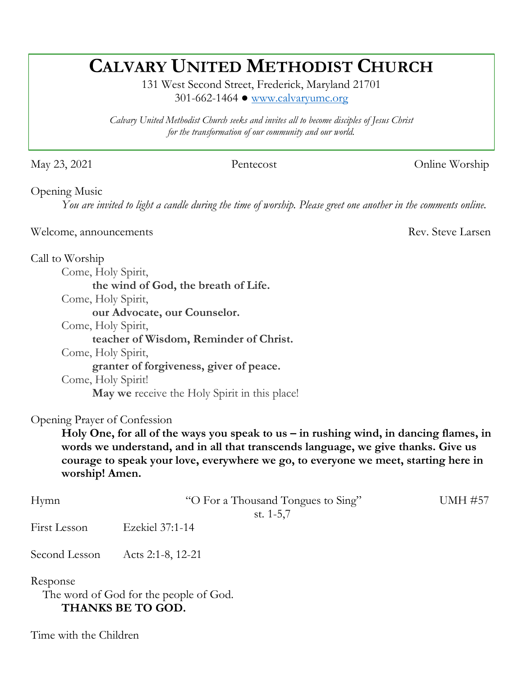# **CALVARY UNITED METHODIST CHURCH**

131 West Second Street, Frederick, Maryland 21701 301-662-1464 ● [www.calvaryumc.org](http://www.calvaryumc.org/)

*Calvary United Methodist Church seeks and invites all to become disciples of Jesus Christ for the transformation of our community and our world.* 

May 23, 2021 Pentecost Online Worship

Opening Music

*You are invited to light a candle during the time of worship. Please greet one another in the comments online.*

Welcome, announcements Rev. Steve Larsen

Call to Worship

Come, Holy Spirit, **the wind of God, the breath of Life.** Come, Holy Spirit, **our Advocate, our Counselor.** Come, Holy Spirit, **teacher of Wisdom, Reminder of Christ.**

Come, Holy Spirit,

**granter of forgiveness, giver of peace.**

Come, Holy Spirit!

**May we** receive the Holy Spirit in this place!

Opening Prayer of Confession

Holy One, for all of the ways you speak to us – in rushing wind, in dancing flames, in **words we understand, and in all that transcends language, we give thanks. Give us courage to speak your love, everywhere we go, to everyone we meet, starting here in worship! Amen.** 

| Hymn         | "O For a Thousand Tongues to Sing" | <b>UMH #57</b> |
|--------------|------------------------------------|----------------|
|              | st. $1-5,7$                        |                |
| First Lesson | Ezekiel 37:1-14                    |                |

Second Lesson Acts 2:1-8, 12-21

Response

 The word of God for the people of God. **THANKS BE TO GOD.**

Time with the Children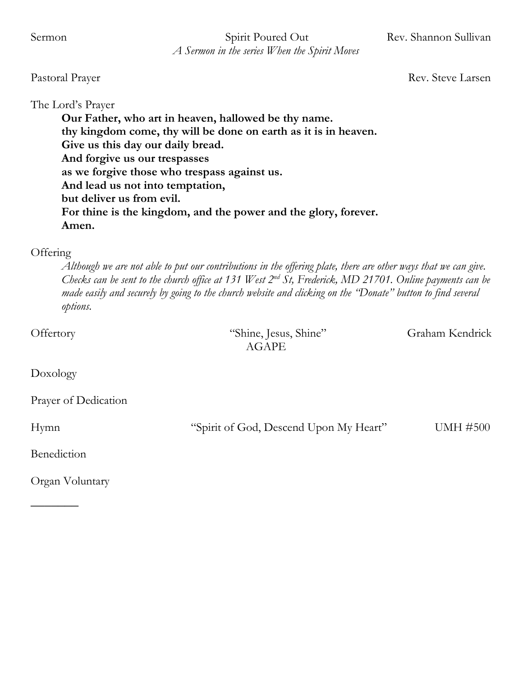Sermon Spirit Poured Out Rev. Shannon Sullivan  *A Sermon in the series When the Spirit Moves*

Pastoral Prayer Rev. Steve Larsen

The Lord's Prayer

**Our Father, who art in heaven, hallowed be thy name. thy kingdom come, thy will be done on earth as it is in heaven. Give us this day our daily bread. And forgive us our trespasses as we forgive those who trespass against us. And lead us not into temptation, but deliver us from evil. For thine is the kingdom, and the power and the glory, forever. Amen.**

#### **Offering**

*Although we are not able to put our contributions in the offering plate, there are other ways that we can give. Checks can be sent to the church office at 131 West 2nd St, Frederick, MD 21701. Online payments can be made easily and securely by going to the church website and clicking on the "Donate" button to find several options.* 

Offertory "Shine, Jesus, Shine" Graham Kendrick AGAPE Doxology Prayer of Dedication Hymn "Spirit of God, Descend Upon My Heart" UMH #500 Benediction

Organ Voluntary

 $\overline{\phantom{a}}$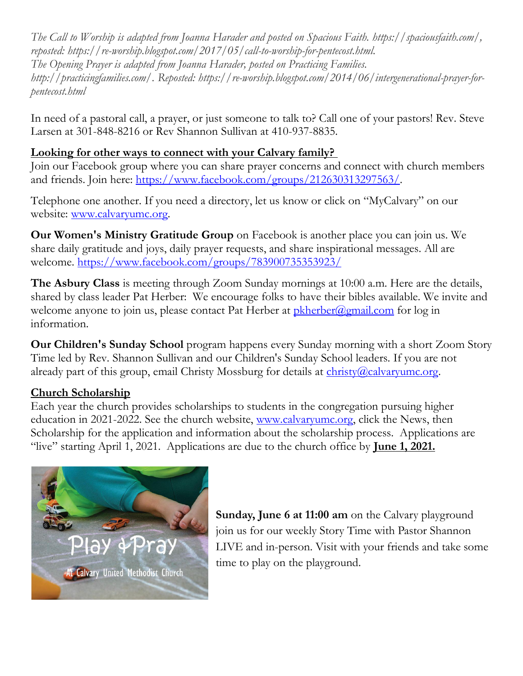*The Call to Worship is adapted from Joanna Harader and posted on Spacious Faith. https://spaciousfaith.com/, reposted: https://re-worship.blogspot.com/2017/05/call-to-worship-for-pentecost.html. The Opening Prayer is adapted from Joanna Harader, posted on Practicing Families. [http://practicingfamilies.com/.](http://practicingfamilies.com/) Reposted: [https://re-worship.blogspot.com/2014/06/intergenerational-prayer-for](https://re-worship.blogspot.com/2014/06/intergenerational-prayer-for-pentecost.html)[pentecost.html](https://re-worship.blogspot.com/2014/06/intergenerational-prayer-for-pentecost.html)*

In need of a pastoral call, a prayer, or just someone to talk to? Call one of your pastors! Rev. Steve Larsen at 301-848-8216 or Rev Shannon Sullivan at 410-937-8835.

# **Looking for other ways to connect with your Calvary family?**

Join our Facebook group where you can share prayer concerns and connect with church members and friends. Join here: [https://www.facebook.com/groups/212630313297563/.](https://www.facebook.com/groups/212630313297563/)

Telephone one another. If you need a directory, let us know or click on "MyCalvary" on our website: [www.calvaryumc.org.](http://www.calvaryumc.org/)

**Our Women's Ministry Gratitude Group** on Facebook is another place you can join us. We share daily gratitude and joys, daily prayer requests, and share inspirational messages. All are welcome.<https://www.facebook.com/groups/783900735353923/>

**The Asbury Class** is meeting through Zoom Sunday mornings at 10:00 a.m. Here are the details, shared by class leader Pat Herber: We encourage folks to have their bibles available. We invite and welcome anyone to join us, please contact Pat Herber at  $\frac{pkherber(\partial gmail.com)}{pkner(\partial gmail.com)}$  for log in information.

**Our Children's Sunday School** program happens every Sunday morning with a short Zoom Story Time led by Rev. Shannon Sullivan and our Children's Sunday School leaders. If you are not already part of this group, email Christy Mossburg for details at [christy@calvaryumc.org.](mailto:christy@calvaryumc.org)

## **Church Scholarship**

Each year the church provides scholarships to students in the congregation pursuing higher education in 2021-2022. See the church website, [www.calvaryumc.org,](http://www.calvaryumc.org/) click the News, then Scholarship for the application and information about the scholarship process. Applications are "live" starting April 1, 2021. Applications are due to the church office by **June 1, 2021.**



**Sunday, June 6 at 11:00 am** on the Calvary playground join us for our weekly Story Time with Pastor Shannon LIVE and in-person. Visit with your friends and take some time to play on the playground.